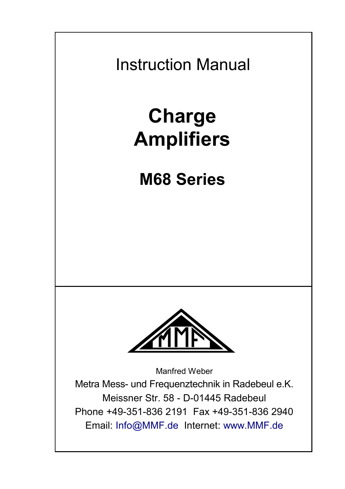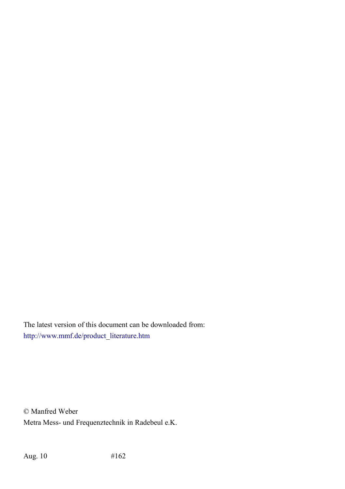The latest version of this document can be downloaded from: [http://www.mmf.de/product\\_literature.htm](http://www.mmf.de/produktliteratur.htm)

© Manfred Weber Metra Mess- und Frequenztechnik in Radebeul e.K.

Aug. 10 #162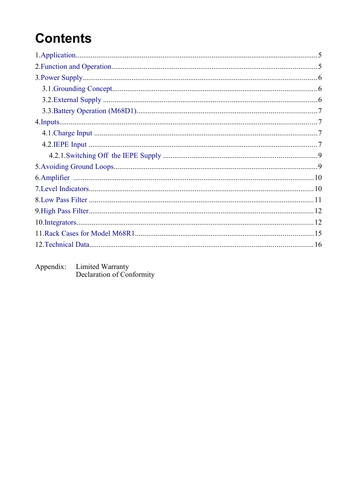# **Contents**

Appendix: Limited Warranty<br>Declaration of Conformity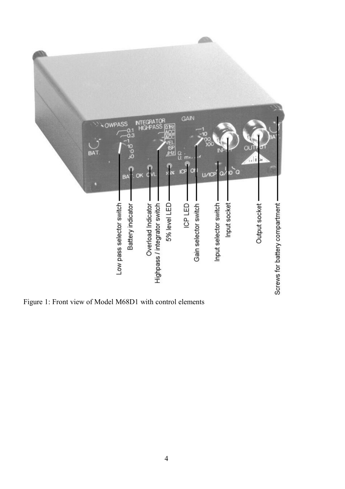

Figure 1: Front view of Model M68D1 with control elements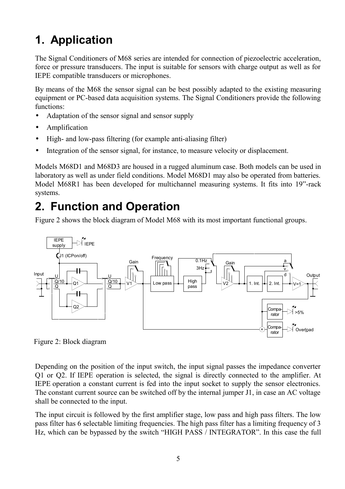# <span id="page-4-1"></span>**1. Application**

The Signal Conditioners of M68 series are intended for connection of piezoelectric acceleration, force or pressure transducers. The input is suitable for sensors with charge output as well as for IEPE compatible transducers or microphones.

By means of the M68 the sensor signal can be best possibly adapted to the existing measuring equipment or PC-based data acquisition systems. The Signal Conditioners provide the following functions:

- Adaptation of the sensor signal and sensor supply
- Amplification
- High- and low-pass filtering (for example anti-aliasing filter)
- Integration of the sensor signal, for instance, to measure velocity or displacement.

Models M68D1 and M68D3 are housed in a rugged aluminum case. Both models can be used in laboratory as well as under field conditions. Model M68D1 may also be operated from batteries. Model M68R1 has been developed for multichannel measuring systems. It fits into 19"-rack systems.

#### <span id="page-4-0"></span>**2. Function and Operation**

[Figure 2](#page-4-2) shows the block diagram of Model M68 with its most important functional groups.



<span id="page-4-2"></span>Figure 2: Block diagram

Depending on the position of the input switch, the input signal passes the impedance converter Q1 or Q2. If IEPE operation is selected, the signal is directly connected to the amplifier. At IEPE operation a constant current is fed into the input socket to supply the sensor electronics. The constant current source can be switched off by the internal jumper J1, in case an AC voltage shall be connected to the input.

The input circuit is followed by the first amplifier stage, low pass and high pass filters. The low pass filter has 6 selectable limiting frequencies. The high pass filter has a limiting frequency of 3 Hz, which can be bypassed by the switch "HIGH PASS / INTEGRATOR". In this case the full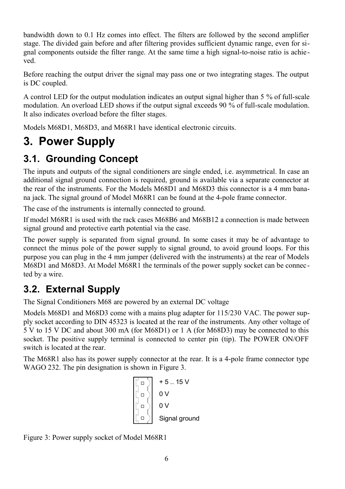bandwidth down to 0.1 Hz comes into effect. The filters are followed by the second amplifier stage. The divided gain before and after filtering provides sufficient dynamic range, even for signal components outside the filter range. At the same time a high signal-to-noise ratio is achieved.

Before reaching the output driver the signal may pass one or two integrating stages. The output is DC coupled.

A control LED for the output modulation indicates an output signal higher than 5 % of full-scale modulation. An overload LED shows if the output signal exceeds 90 % of full-scale modulation. It also indicates overload before the filter stages.

Models M68D1, M68D3, and M68R1 have identical electronic circuits.

# <span id="page-5-2"></span>**3. Power Supply**

#### <span id="page-5-1"></span>**3.1. Grounding Concept**

The inputs and outputs of the signal conditioners are single ended, i.e. asymmetrical. In case an additional signal ground connection is required, ground is available via a separate connector at the rear of the instruments. For the Models M68D1 and M68D3 this connector is a 4 mm banana jack. The signal ground of Model M68R1 can be found at the 4-pole frame connector.

The case of the instruments is internally connected to ground.

If model M68R1 is used with the rack cases M68B6 and M68B12 a connection is made between signal ground and protective earth potential via the case.

The power supply is separated from signal ground. In some cases it may be of advantage to connect the minus pole of the power supply to signal ground, to avoid ground loops. For this purpose you can plug in the 4 mm jumper (delivered with the instruments) at the rear of Models M68D1 and M68D3. At Model M68R1 the terminals of the power supply socket can be connec ted by a wire.

#### <span id="page-5-0"></span>**3.2. External Supply**

The Signal Conditioners M68 are powered by an external DC voltage

Models M68D1 and M68D3 come with a mains plug adapter for 115/230 VAC. The power supply socket according to DIN 45323 is located at the rear of the instruments. Any other voltage of 5 V to 15 V DC and about 300 mA (for M68D1) or 1 A (for M68D3) may be connected to this socket. The positive supply terminal is connected to center pin (tip). The POWER ON/OFF switch is located at the rear.

The M68R1 also has its power supply connector at the rear. It is a 4-pole frame connector type WAGO 232. The pin designation is shown in [Figure 3.](#page-5-3)

$$
\begin{array}{c|c}\n\hline\n\begin{bmatrix}\n\Box \\
\Box \\
\Box\n\end{bmatrix} & +5..15 \,V \\
0 \,V \\
\hline\n\begin{bmatrix}\n\Box \\
\Box\n\end{bmatrix} & 0 \,V \\
0 \,V \\
\hline\n\begin{bmatrix}\n\Box \\
\Box\n\end{bmatrix} & Signal ground\n\end{array}
$$

<span id="page-5-3"></span>Figure 3: Power supply socket of Model M68R1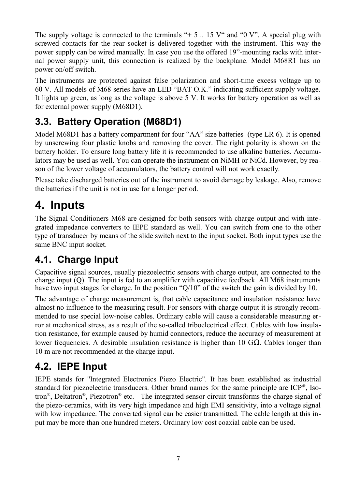The supply voltage is connected to the terminals " $+ 5$  .. 15 V" and "0 V". A special plug with screwed contacts for the rear socket is delivered together with the instrument. This way the power supply can be wired manually. In case you use the offered 19"-mounting racks with internal power supply unit, this connection is realized by the backplane. Model M68R1 has no power on/off switch.

The instruments are protected against false polarization and short-time excess voltage up to 60 V. All models of M68 series have an LED "BAT O.K." indicating sufficient supply voltage. It lights up green, as long as the voltage is above 5 V. It works for battery operation as well as for external power supply (M68D1).

#### <span id="page-6-3"></span>**3.3. Battery Operation (M68D1)**

Model M68D1 has a battery compartment for four "AA" size batteries (type LR 6). It is opened by unscrewing four plastic knobs and removing the cover. The right polarity is shown on the battery holder. To ensure long battery life it is recommended to use alkaline batteries. Accumulators may be used as well. You can operate the instrument on NiMH or NiCd. However, by reason of the lower voltage of accumulators, the battery control will not work exactly.

Please take discharged batteries out of the instrument to avoid damage by leakage. Also, remove the batteries if the unit is not in use for a longer period.

# <span id="page-6-2"></span>**4. Inputs**

The Signal Conditioners M68 are designed for both sensors with charge output and with integrated impedance converters to IEPE standard as well. You can switch from one to the other type of transducer by means of the slide switch next to the input socket. Both input types use the same BNC input socket.

#### <span id="page-6-1"></span>**4.1. Charge Input**

Capacitive signal sources, usually piezoelectric sensors with charge output, are connected to the charge input (Q). The input is fed to an amplifier with capacitive feedback. All M68 instruments have two input stages for charge. In the position "Q/10" of the switch the gain is divided by 10.

The advantage of charge measurement is, that cable capacitance and insulation resistance have almost no influence to the measuring result. For sensors with charge output it is strongly recommended to use special low-noise cables. Ordinary cable will cause a considerable measuring error at mechanical stress, as a result of the so-called triboelectrical effect. Cables with low insulation resistance, for example caused by humid connectors, reduce the accuracy of measurement at lower frequencies. A desirable insulation resistance is higher than 10 GΩ. Cables longer than 10 m are not recommended at the charge input.

#### <span id="page-6-0"></span>**4.2. IEPE Input**

IEPE stands for "Integrated Electronics Piezo Electric". It has been established as industrial standard for piezoelectric transducers. Other brand names for the same principle are ICP®, Isotron®, Deltatron®, Piezotron® etc. The integrated sensor circuit transforms the charge signal of the piezo-ceramics, with its very high impedance and high EMI sensitivity, into a voltage signal with low impedance. The converted signal can be easier transmitted. The cable length at this input may be more than one hundred meters. Ordinary low cost coaxial cable can be used.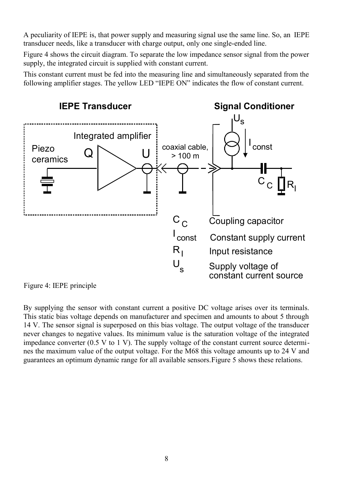A peculiarity of IEPE is, that power supply and measuring signal use the same line. So, an IEPE transducer needs, like a transducer with charge output, only one single-ended line.

[Figure 4](#page-7-0) shows the circuit diagram. To separate the low impedance sensor signal from the power supply, the integrated circuit is supplied with constant current.

This constant current must be fed into the measuring line and simultaneously separated from the following amplifier stages. The yellow LED "IEPE ON" indicates the flow of constant current.



<span id="page-7-0"></span>Figure 4: IEPE principle

By supplying the sensor with constant current a positive DC voltage arises over its terminals. This static bias voltage depends on manufacturer and specimen and amounts to about 5 through 14 V. The sensor signal is superposed on this bias voltage. The output voltage of the transducer never changes to negative values. Its minimum value is the saturation voltage of the integrated impedance converter  $(0.5 V to 1 V)$ . The supply voltage of the constant current source determines the maximum value of the output voltage. For the M68 this voltage amounts up to 24 V and guarantees an optimum dynamic range for all available sensors[.Figure 5](#page-8-2) shows these relations.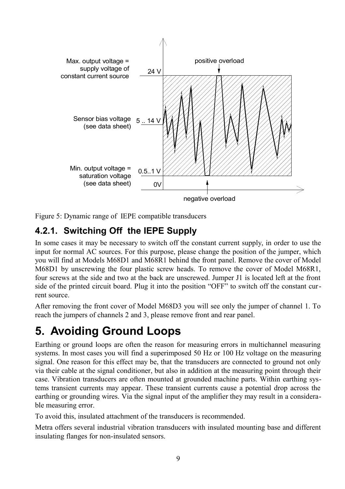

<span id="page-8-2"></span>Figure 5: Dynamic range of IEPE compatible transducers

#### <span id="page-8-1"></span>**4.2.1. Switching Off the IEPE Supply**

In some cases it may be necessary to switch off the constant current supply, in order to use the input for normal AC sources. For this purpose, please change the position of the jumper, which you will find at Models M68D1 and M68R1 behind the front panel. Remove the cover of Model M68D1 by unscrewing the four plastic screw heads. To remove the cover of Model M68R1, four screws at the side and two at the back are unscrewed. Jumper J1 is located left at the front side of the printed circuit board. Plug it into the position "OFF" to switch off the constant current source.

After removing the front cover of Model M68D3 you will see only the jumper of channel 1. To reach the jumpers of channels 2 and 3, please remove front and rear panel.

## <span id="page-8-0"></span>**5. Avoiding Ground Loops**

Earthing or ground loops are often the reason for measuring errors in multichannel measuring systems. In most cases you will find a superimposed 50 Hz or 100 Hz voltage on the measuring signal. One reason for this effect may be, that the transducers are connected to ground not only via their cable at the signal conditioner, but also in addition at the measuring point through their case. Vibration transducers are often mounted at grounded machine parts. Within earthing systems transient currents may appear. These transient currents cause a potential drop across the earthing or grounding wires. Via the signal input of the amplifier they may result in a considerable measuring error.

To avoid this, insulated attachment of the transducers is recommended.

Metra offers several industrial vibration transducers with insulated mounting base and different insulating flanges for non-insulated sensors.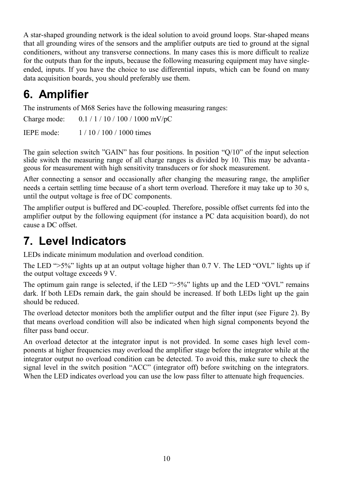A star-shaped grounding network is the ideal solution to avoid ground loops. Star-shaped means that all grounding wires of the sensors and the amplifier outputs are tied to ground at the signal conditioners, without any transverse connections. In many cases this is more difficult to realize for the outputs than for the inputs, because the following measuring equipment may have singleended, inputs. If you have the choice to use differential inputs, which can be found on many data acquisition boards, you should preferably use them.

# <span id="page-9-1"></span>**6. Amplifier**

The instruments of M68 Series have the following measuring ranges:

Charge mode: 0.1 / 1 / 10 / 100 / 1000 mV/pC

IEPE mode: 1 / 10 / 100 / 1000 times

The gain selection switch "GAIN" has four positions. In position "Q/10" of the input selection slide switch the measuring range of all charge ranges is divided by 10. This may be advanta geous for measurement with high sensitivity transducers or for shock measurement.

After connecting a sensor and occasionally after changing the measuring range, the amplifier needs a certain settling time because of a short term overload. Therefore it may take up to 30 s, until the output voltage is free of DC components.

The amplifier output is buffered and DC-coupled. Therefore, possible offset currents fed into the amplifier output by the following equipment (for instance a PC data acquisition board), do not cause a DC offset.

## <span id="page-9-0"></span>**7. Level Indicators**

LEDs indicate minimum modulation and overload condition.

The LED " $>5\%$ " lights up at an output voltage higher than 0.7 V. The LED "OVL" lights up if the output voltage exceeds 9 V.

The optimum gain range is selected, if the LED " $>5\%$ " lights up and the LED "OVL" remains dark. If both LEDs remain dark, the gain should be increased. If both LEDs light up the gain should be reduced.

The overload detector monitors both the amplifier output and the filter input (see [Figure 2\)](#page-4-2). By that means overload condition will also be indicated when high signal components beyond the filter pass band occur.

An overload detector at the integrator input is not provided. In some cases high level components at higher frequencies may overload the amplifier stage before the integrator while at the integrator output no overload condition can be detected. To avoid this, make sure to check the signal level in the switch position "ACC" (integrator off) before switching on the integrators. When the LED indicates overload you can use the low pass filter to attenuate high frequencies.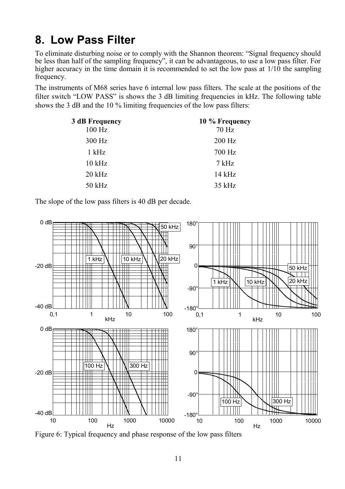## <span id="page-10-0"></span>**8. Low Pass Filter**

To eliminate disturbing noise or to comply with the Shannon theorem: "Signal frequency should be less than half of the sampling frequency", it can be advantageous, to use a low pass filter. For higher accuracy in the time domain it is recommended to set the low pass at  $1/10$  the sampling frequency.

The instruments of M68 series have 6 internal low pass filters. The scale at the positions of the filter switch "LOW PASS" is shows the 3 dB limiting frequencies in kHz. The following table shows the 3 dB and the 10 % limiting frequencies of the low pass filters:

| 3 dB Frequency | 10 % Frequency |
|----------------|----------------|
| $100$ Hz       | 70 Hz          |
| 300 Hz         | $200$ Hz       |
| 1 kHz          | 700 Hz         |
| $10$ kHz       | 7 kHz          |
| $20$ kHz       | $14$ kHz       |
| 50 kHz         | 35 kHz         |

The slope of the low pass filters is 40 dB per decade.



Figure 6: Typical frequency and phase response of the low pass filters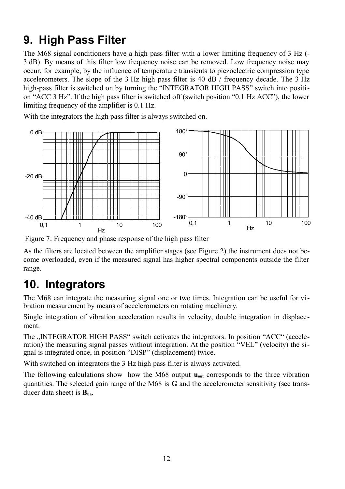## <span id="page-11-1"></span>**9. High Pass Filter**

The M68 signal conditioners have a high pass filter with a lower limiting frequency of 3 Hz (- 3 dB). By means of this filter low frequency noise can be removed. Low frequency noise may occur, for example, by the influence of temperature transients to piezoelectric compression type accelerometers. The slope of the 3 Hz high pass filter is 40 dB / frequency decade. The 3 Hz high-pass filter is switched on by turning the "INTEGRATOR HIGH PASS" switch into position "ACC 3 Hz". If the high pass filter is switched off (switch position "0.1 Hz ACC"), the lower limiting frequency of the amplifier is 0.1 Hz.

With the integrators the high pass filter is always switched on.



Figure 7: Frequency and phase response of the high pass filter

As the filters are located between the amplifier stages (see [Figure 2\)](#page-4-2) the instrument does not become overloaded, even if the measured signal has higher spectral components outside the filter range.

# <span id="page-11-0"></span>**10. Integrators**

The M68 can integrate the measuring signal one or two times. Integration can be useful for vibration measurement by means of accelerometers on rotating machinery.

Single integration of vibration acceleration results in velocity, double integration in displacement.

The ..INTEGRATOR HIGH PASS" switch activates the integrators. In position "ACC" (acceleration) the measuring signal passes without integration. At the position "VEL" (velocity) the signal is integrated once, in position "DISP" (displacement) twice.

With switched on integrators the 3 Hz high pass filter is always activated.

The following calculations show how the M68 output **uout** corresponds to the three vibration quantities. The selected gain range of the M68 is **G** and the accelerometer sensitivity (see transducer data sheet) is **Bua**.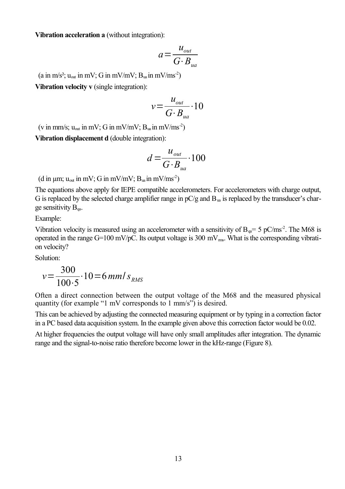**Vibration acceleration a** (without integration):

$$
a = \frac{u_{\text{out}}}{G \cdot B_{\text{ua}}}
$$

(a in m/s<sup>2</sup>; u<sub>out</sub> in mV; G in mV/mV;  $B_{\text{ua}}$  in mV/ms<sup>-2</sup>)

**Vibration velocity v** (single integration):

$$
v = \frac{u_{out}}{G \cdot B_{ua}} \cdot 10
$$

(v in mm/s;  $u_{\text{out}}$  in mV; G in mV/mV;  $B_{\text{ua}}$  in mV/ms<sup>-2</sup>)

**Vibration displacement d** (double integration):

$$
d = \frac{u_{\text{out}}}{G \cdot B_{\text{ua}}} \cdot 100
$$

(d in  $\mu$ m;  $u_{\text{out}}$  in mV; G in mV/mV;  $B_{\text{un}}$  in mV/ms<sup>-2</sup>)

The equations above apply for IEPE compatible accelerometers. For accelerometers with charge output, G is replaced by the selected charge amplifier range in  $pC/q$  and  $B<sub>un</sub>$  is replaced by the transducer's charge sensitivity  $B_{\alpha}$ .

Example:

Vibration velocity is measured using an accelerometer with a sensitivity of  $B_{\alpha}= 5$  pC/ms<sup>-2</sup>. The M68 is operated in the range  $G=100$  mV/pC. Its output voltage is 300 mV $_{\text{ms}}$ . What is the corresponding vibration velocity?

Solution:

$$
v = \frac{300}{100 \cdot 5} \cdot 10 = 6 \, \text{mm/s}_{\text{RMS}}
$$

Often a direct connection between the output voltage of the M68 and the measured physical quantity (for example "1 mV corresponds to 1 mm/s") is desired.

This can be achieved by adjusting the connected measuring equipment or by typing in a correction factor in a PC based data acquisition system. In the example given above this correction factor would be 0.02.

At higher frequencies the output voltage will have only small amplitudes after integration. The dynamic range and the signal-to-noise ratio therefore become lower in the kHz-range [\(Figure 8\)](#page-13-0).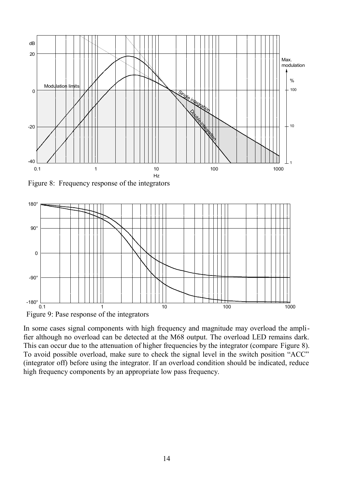

<span id="page-13-0"></span>Figure 8: Frequency response of the integrators



In some cases signal components with high frequency and magnitude may overload the amplifier although no overload can be detected at the M68 output. The overload LED remains dark. This can occur due to the attenuation of higher frequencies by the integrator (compare [Figure 8\)](#page-13-0). To avoid possible overload, make sure to check the signal level in the switch position "ACC" (integrator off) before using the integrator. If an overload condition should be indicated, reduce high frequency components by an appropriate low pass frequency.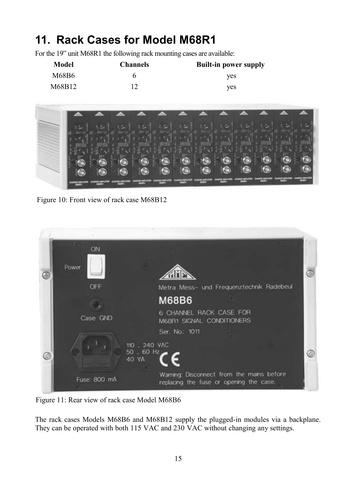# <span id="page-14-0"></span>**11. Rack Cases for Model M68R1**

For the 19" unit M68R1 the following rack mounting cases are available:

| Model  | <b>Channels</b> | <b>Built-in power supply</b> |
|--------|-----------------|------------------------------|
| M68B6  |                 | ves                          |
| M68B12 |                 | ves                          |



Figure 10: Front view of rack case M68B12

|   | ON           |                                                                                      |  |
|---|--------------|--------------------------------------------------------------------------------------|--|
| ⊕ | Power        |                                                                                      |  |
|   | OFF          | Metra Mess- und Frequenztechnik Radebeul                                             |  |
|   |              | <b>M68B6</b>                                                                         |  |
|   | Case GND     | 6 CHANNEL RACK CASE FOR<br>M68R1 SIGNAL CONDITIONERS                                 |  |
|   |              | Ser. No.: 1011                                                                       |  |
| O |              | 110 240 VAC<br>$50 - 60$ Hz<br>Œ<br>40 VA                                            |  |
|   | Fuse: 800 mA | Warning: Disconnect from the mains before<br>replacing the fuse or opening the case. |  |

Figure 11: Rear view of rack case Model M68B6

The rack cases Models M68B6 and M68B12 supply the plugged-in modules via a backplane. They can be operated with both 115 VAC and 230 VAC without changing any settings.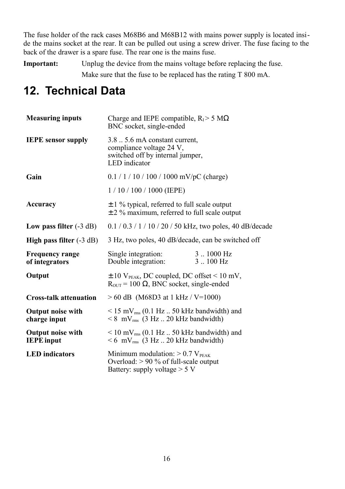The fuse holder of the rack cases M68B6 and M68B12 with mains power supply is located inside the mains socket at the rear. It can be pulled out using a screw driver. The fuse facing to the back of the drawer is a spare fuse. The rear one is the mains fuse.

**Important:** Unplug the device from the mains voltage before replacing the fuse. Make sure that the fuse to be replaced has the rating T 800 mA.

## <span id="page-15-0"></span>**12. Technical Data**

| <b>Measuring inputs</b>                       | Charge and IEPE compatible, $R_{I} > 5 M\Omega$<br>BNC socket, single-ended                                               |                                    |  |
|-----------------------------------------------|---------------------------------------------------------------------------------------------------------------------------|------------------------------------|--|
| <b>IEPE</b> sensor supply                     | $3.8 \dots 5.6$ mA constant current,<br>compliance voltage 24 V,<br>switched off by internal jumper,<br>LED indicator     |                                    |  |
| Gain                                          | $0.1 / 1 / 10 / 100 / 1000$ mV/pC (charge)                                                                                |                                    |  |
|                                               | $1/10/100/1000$ (IEPE)                                                                                                    |                                    |  |
| Accuracy                                      | $\pm$ 1 % typical, referred to full scale output<br>$\pm$ 2 % maximum, referred to full scale output                      |                                    |  |
| Low pass filter $(-3 dB)$                     | $0.1 / 0.3 / 1 / 10 / 20 / 50$ kHz, two poles, 40 dB/decade                                                               |                                    |  |
| High pass filter $(-3 dB)$                    | 3 Hz, two poles, 40 dB/decade, can be switched off                                                                        |                                    |  |
| <b>Frequency range</b><br>of integrators      | Single integration:<br>Double integration:                                                                                | $3-.1000$ Hz<br>$3.100 \text{ Hz}$ |  |
| Output                                        | $\pm$ 10 V <sub>PEAK</sub> , DC coupled, DC offset < 10 mV,<br>$R_{\text{OUT}} = 100 \Omega$ , BNC socket, single-ended   |                                    |  |
| <b>Cross-talk attenuation</b>                 | $> 60$ dB (M68D3 at 1 kHz / V=1000)                                                                                       |                                    |  |
| <b>Output noise with</b><br>charge input      | $\leq$ 15 mV <sub>rms</sub> (0.1 Hz  50 kHz bandwidth) and<br>$\leq 8$ mV <sub>rms</sub> (3 Hz 20 kHz bandwidth)          |                                    |  |
| <b>Output noise with</b><br><b>IEPE</b> input | $\rm{10~mV}_{rms}$ (0.1 Hz  50 kHz bandwidth) and<br>$\leq 6$ mV <sub>rms</sub> (3 Hz 20 kHz bandwidth)                   |                                    |  |
| <b>LED</b> indicators                         | Minimum modulation: $> 0.7$ V <sub>PEAK</sub><br>Overload: > 90 % of full-scale output<br>Battery: supply voltage $> 5 V$ |                                    |  |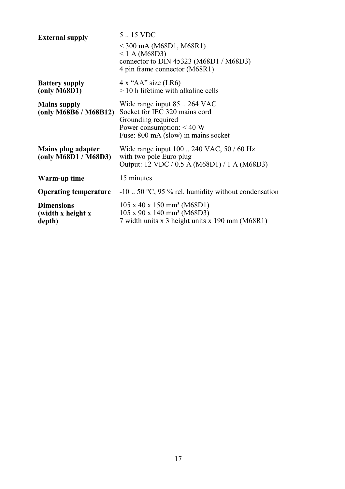| <b>External supply</b>                           | 5  15 VDC                                                                                                                                                 |
|--------------------------------------------------|-----------------------------------------------------------------------------------------------------------------------------------------------------------|
|                                                  | $<$ 300 mA (M68D1, M68R1)<br>$< 1$ A (M68D3)<br>connector to DIN 45323 (M68D1 / M68D3)<br>4 pin frame connector (M68R1)                                   |
| <b>Battery supply</b><br>(only M68D1)            | $4x$ "AA" size (LR6)<br>$>$ 10 h lifetime with alkaline cells                                                                                             |
| <b>Mains supply</b><br>(only M68B6/M68B12)       | Wide range input 85  264 VAC<br>Socket for IEC 320 mains cord<br>Grounding required<br>Power consumption: $< 40 W$<br>Fuse: 800 mA (slow) in mains socket |
| Mains plug adapter<br>(only M68D1/M68D3)         | Wide range input 100  240 VAC, 50 / 60 Hz<br>with two pole Euro plug<br>Output: 12 VDC / 0.5 A (M68D1) / 1 A (M68D3)                                      |
| Warm-up time                                     | 15 minutes                                                                                                                                                |
| <b>Operating temperature</b>                     | $-10$ 50 °C, 95 % rel. humidity without condensation                                                                                                      |
| <b>Dimensions</b><br>(width x height x<br>depth) | $105 \times 40 \times 150 \text{ mm}^3 \ (M68D1)$<br>$105 \times 90 \times 140 \text{ mm}^3 \ (M68D3)$<br>7 width units x 3 height units x 190 mm (M68R1) |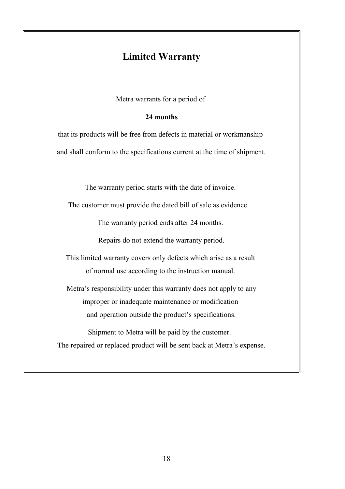#### **Limited Warranty**

Metra warrants for a period of

#### **24 months**

that its products will be free from defects in material or workmanship and shall conform to the specifications current at the time of shipment.

The warranty period starts with the date of invoice.

The customer must provide the dated bill of sale as evidence.

The warranty period ends after 24 months.

Repairs do not extend the warranty period.

This limited warranty covers only defects which arise as a result of normal use according to the instruction manual.

Metra's responsibility under this warranty does not apply to any improper or inadequate maintenance or modification and operation outside the product's specifications.

Shipment to Metra will be paid by the customer. The repaired or replaced product will be sent back at Metra's expense.